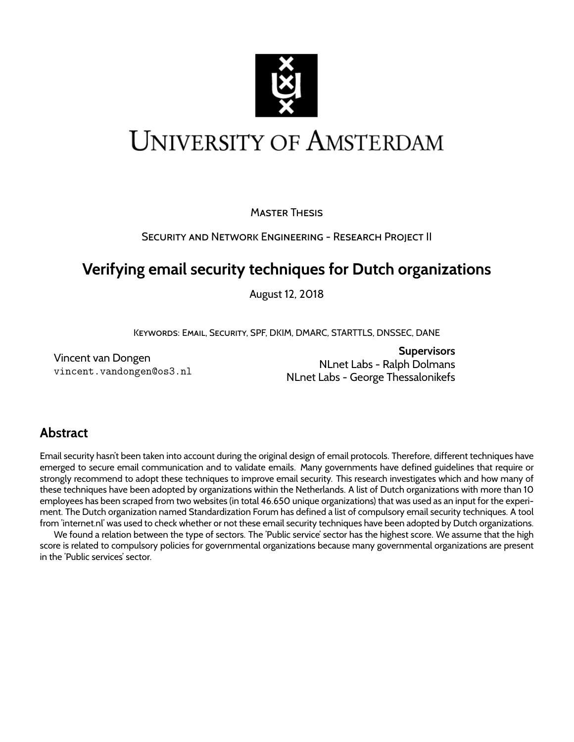

# **UNIVERSITY OF AMSTERDAM**

MASTER THESIS

SECURITY AND NETWORK ENGINEERING - RESEARCH PROJECT II

# **Verifying email security techniques for Dutch organizations**

August 12, 2018

KEYWORDS: EMAIL, SECURITY, SPF, DKIM, DMARC, STARTTLS, DNSSEC, DANE

Vincent van Dongen vincent.vandongen@os3.nl

**Supervisors** NLnet Labs - Ralph Dolmans NLnet Labs - George Thessalonikefs

# **Abstract**

Email security hasn't been taken into account during the original design of email protocols. Therefore, different techniques have emerged to secure email communication and to validate emails. Many governments have defined guidelines that require or strongly recommend to adopt these techniques to improve email security. This research investigates which and how many of these techniques have been adopted by organizations within the Netherlands. A list of Dutch organizations with more than 10 employees has been scraped from two websites (in total 46.650 unique organizations) that was used as an input for the experiment. The Dutch organization named Standardization Forum has defined a list of compulsory email security techniques. A tool from 'internet.nl' was used to check whether or not these email security techniques have been adopted by Dutch organizations.

We found a relation between the type of sectors. The 'Public service' sector has the highest score. We assume that the high score is related to compulsory policies for governmental organizations because many governmental organizations are present in the 'Public services' sector.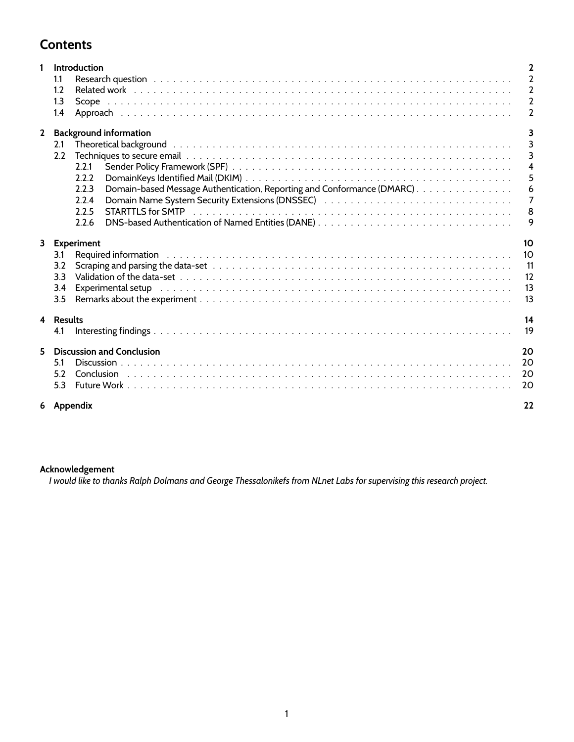# **Contents**

| 1           |                             | Introduction                                                                                                                                                                                                                  | 2                |  |  |  |  |
|-------------|-----------------------------|-------------------------------------------------------------------------------------------------------------------------------------------------------------------------------------------------------------------------------|------------------|--|--|--|--|
|             | 1.1                         |                                                                                                                                                                                                                               | $\overline{2}$   |  |  |  |  |
|             | 1.2                         |                                                                                                                                                                                                                               | $\overline{2}$   |  |  |  |  |
|             | 1.3                         |                                                                                                                                                                                                                               | $\overline{2}$   |  |  |  |  |
|             | 1.4                         |                                                                                                                                                                                                                               | $\overline{2}$   |  |  |  |  |
| $\mathbf 2$ |                             | <b>Background information</b>                                                                                                                                                                                                 | 3                |  |  |  |  |
|             | 2.1                         | Theoretical background the state of the state of the state of the state of the state of the state of the state of the state of the state of the state of the state of the state of the state of the state of the state of the | $\overline{3}$   |  |  |  |  |
|             | 2.2                         |                                                                                                                                                                                                                               | $\overline{3}$   |  |  |  |  |
|             |                             | 2.2.1                                                                                                                                                                                                                         | $\overline{4}$   |  |  |  |  |
|             |                             | 2.2.2                                                                                                                                                                                                                         | $5\overline{5}$  |  |  |  |  |
|             |                             | Domain-based Message Authentication, Reporting and Conformance (DMARC).<br>2.2.3                                                                                                                                              | $\boldsymbol{6}$ |  |  |  |  |
|             |                             | Domain Name System Security Extensions (DNSSEC) Alternative Alternative Alternative Alternative Alternative A<br>2.2.4                                                                                                        | $\overline{7}$   |  |  |  |  |
|             |                             | 2.2.5                                                                                                                                                                                                                         | 8                |  |  |  |  |
|             |                             | DNS-based Authentication of Named Entities (DANE)<br>2.2.6                                                                                                                                                                    | 9                |  |  |  |  |
|             |                             | 3 Experiment                                                                                                                                                                                                                  |                  |  |  |  |  |
|             | 3.1                         |                                                                                                                                                                                                                               | 10               |  |  |  |  |
|             | 3.2                         |                                                                                                                                                                                                                               | 11               |  |  |  |  |
|             | 3.3                         |                                                                                                                                                                                                                               | 12               |  |  |  |  |
|             | 3.4                         | Experimental setup (also assessment as a set of the contract of the contract of the contract of the contract of                                                                                                               | 13               |  |  |  |  |
|             | 3.5                         |                                                                                                                                                                                                                               | 13               |  |  |  |  |
|             | 4 Results                   |                                                                                                                                                                                                                               |                  |  |  |  |  |
|             | 4.1                         |                                                                                                                                                                                                                               | 19               |  |  |  |  |
|             | 5 Discussion and Conclusion |                                                                                                                                                                                                                               |                  |  |  |  |  |
|             | 5.1                         |                                                                                                                                                                                                                               | 20               |  |  |  |  |
|             | 52                          |                                                                                                                                                                                                                               | 20               |  |  |  |  |
|             | 5.3                         |                                                                                                                                                                                                                               | 20               |  |  |  |  |
|             |                             | 6 Appendix                                                                                                                                                                                                                    | 22               |  |  |  |  |

### **Acknowledgement**

*I would like to thanks Ralph Dolmans and George Thessalonikefs from NLnet Labs for supervising this research project.*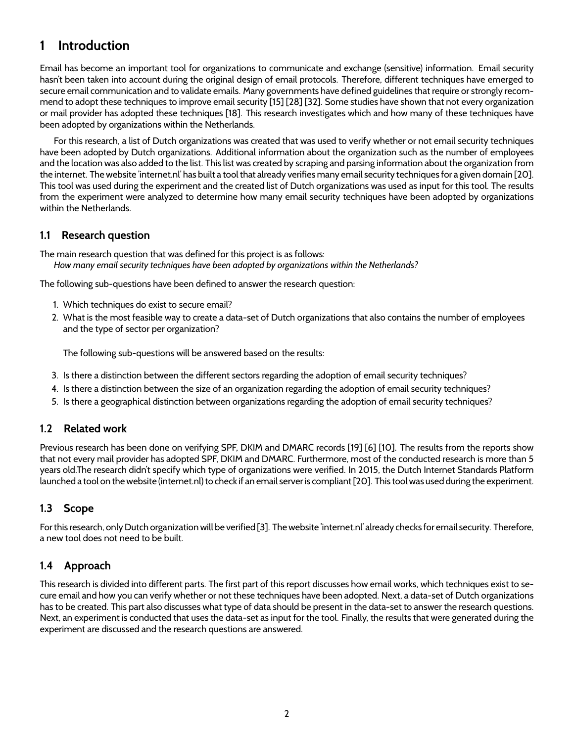# **1 Introduction**

Email has become an important tool for organizations to communicate and exchange (sensitive) information. Email security hasn't been taken into account during the original design of email protocols. Therefore, different techniques have emerged to secure email communication and to validate emails. Many governments have defined guidelines that require or strongly recommend to adopt these techniques to improve email security [15] [28] [32]. Some studies have shown that not every organization or mail provider has adopted these techniques [18]. This research investigates which and how many of these techniques have been adopted by organizations within the Netherlands.

For this research, a list of Dutch organizations was created that was used to verify whether or not email security techniques have been adopted by Dutch organizations. Additional information about the organization such as the number of employees and the location was also added to the list. This list was created by scraping and parsing information about the organization from the internet. The website 'internet.nl' has built a tool that already verifies many email security techniques for a given domain [20]. This tool was used during the experiment and the created list of Dutch organizations was used as input for this tool. The results from the experiment were analyzed to determine how many email security techniques have been adopted by organizations within the Netherlands.

### **1.1 Research question**

The main research question that was defined for this project is as follows: *How many email security techniques have been adopted by organizations within the Netherlands?*

The following sub-questions have been defined to answer the research question:

- 1. Which techniques do exist to secure email?
- 2. What is the most feasible way to create a data-set of Dutch organizations that also contains the number of employees and the type of sector per organization?

The following sub-questions will be answered based on the results:

- 3. Is there a distinction between the different sectors regarding the adoption of email security techniques?
- 4. Is there a distinction between the size of an organization regarding the adoption of email security techniques?
- 5. Is there a geographical distinction between organizations regarding the adoption of email security techniques?

### **1.2 Related work**

Previous research has been done on verifying SPF, DKIM and DMARC records [19] [6] [10]. The results from the reports show that not every mail provider has adopted SPF, DKIM and DMARC. Furthermore, most of the conducted research is more than 5 years old.The research didn't specify which type of organizations were verified. In 2015, the Dutch Internet Standards Platform launched a tool on the website (internet.nl) to check if an email server is compliant [20]. This tool was used during the experiment.

# **1.3 Scope**

For this research, only Dutch organization will be verified [3]. The website 'internet.nl' already checks for email security. Therefore, a new tool does not need to be built.

# **1.4 Approach**

This research is divided into different parts. The first part of this report discusses how email works, which techniques exist to secure email and how you can verify whether or not these techniques have been adopted. Next, a data-set of Dutch organizations has to be created. This part also discusses what type of data should be present in the data-set to answer the research questions. Next, an experiment is conducted that uses the data-set as input for the tool. Finally, the results that were generated during the experiment are discussed and the research questions are answered.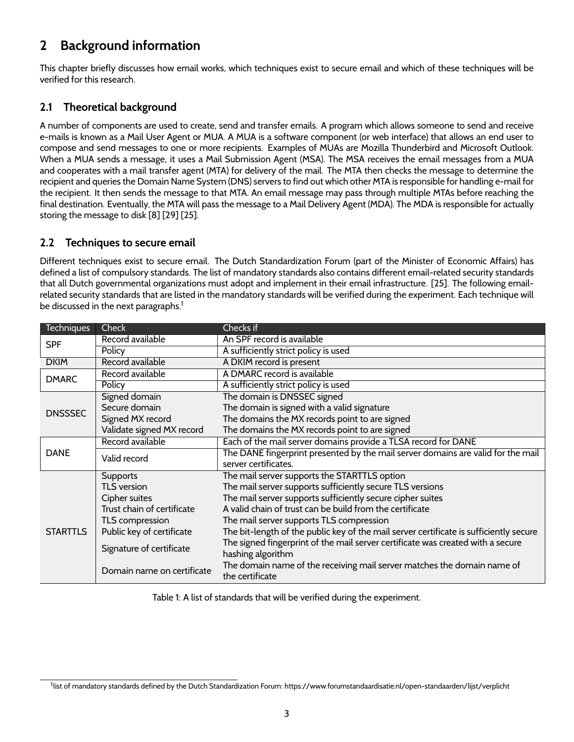# **2 Background information**

This chapter briefly discusses how email works, which techniques exist to secure email and which of these techniques will be verified for this research.

# **2.1 Theoretical background**

A number of components are used to create, send and transfer emails. A program which allows someone to send and receive e-mails is known as a Mail User Agent or MUA. A MUA is a software component (or web interface) that allows an end user to compose and send messages to one or more recipients. Examples of MUAs are Mozilla Thunderbird and Microsoft Outlook. When a MUA sends a message, it uses a Mail Submission Agent (MSA). The MSA receives the email messages from a MUA and cooperates with a mail transfer agent (MTA) for delivery of the mail. The MTA then checks the message to determine the recipient and queries the Domain Name System (DNS) servers to find out which other MTA is responsible for handling e-mail for the recipient. It then sends the message to that MTA. An email message may pass through multiple MTAs before reaching the final destination. Eventually, the MTA will pass the message to a Mail Delivery Agent (MDA). The MDA is responsible for actually storing the message to disk [8] [29] [25].

### **2.2 Techniques to secure email**

Different techniques exist to secure email. The Dutch Standardization Forum (part of the Minister of Economic Affairs) has defined a list of compulsory standards. The list of mandatory standards also contains different email-related security standards that all Dutch governmental organizations must adopt and implement in their email infrastructure. [25]. The following emailrelated security standards that are listed in the mandatory standards will be verified during the experiment. Each technique will be discussed in the next paragraphs.<sup>1</sup>

| <b>Techniques</b> | Check                      | Checks if                                                                                            |  |  |  |
|-------------------|----------------------------|------------------------------------------------------------------------------------------------------|--|--|--|
| <b>SPF</b>        | Record available           | An SPF record is available                                                                           |  |  |  |
|                   | Policy                     | A sufficiently strict policy is used                                                                 |  |  |  |
| <b>DKIM</b>       | Record available           | A DKIM record is present                                                                             |  |  |  |
| <b>DMARC</b>      | Record available           | A DMARC record is available                                                                          |  |  |  |
|                   | Policy                     | A sufficiently strict policy is used                                                                 |  |  |  |
|                   | Signed domain              | The domain is DNSSEC signed                                                                          |  |  |  |
| <b>DNSSSEC</b>    | Secure domain              | The domain is signed with a valid signature                                                          |  |  |  |
|                   | Signed MX record           | The domains the MX records point to are signed                                                       |  |  |  |
|                   | Validate signed MX record  | The domains the MX records point to are signed                                                       |  |  |  |
|                   | Record available           | Each of the mail server domains provide a TLSA record for DANE                                       |  |  |  |
| <b>DANE</b>       | Valid record               | The DANE fingerprint presented by the mail server domains are valid for the mail                     |  |  |  |
|                   |                            | server certificates.                                                                                 |  |  |  |
|                   | <b>Supports</b>            | The mail server supports the STARTTLS option                                                         |  |  |  |
|                   | <b>TLS</b> version         | The mail server supports sufficiently secure TLS versions                                            |  |  |  |
|                   | Cipher suites              | The mail server supports sufficiently secure cipher suites                                           |  |  |  |
|                   | Trust chain of certificate | A valid chain of trust can be build from the certificate                                             |  |  |  |
|                   | TLS compression            | The mail server supports TLS compression                                                             |  |  |  |
| <b>STARTTLS</b>   | Public key of certificate  | The bit-length of the public key of the mail server certificate is sufficiently secure               |  |  |  |
|                   | Signature of certificate   | The signed fingerprint of the mail server certificate was created with a secure<br>hashing algorithm |  |  |  |
|                   | Domain name on certificate | The domain name of the receiving mail server matches the domain name of<br>the certificate           |  |  |  |

Table 1: A list of standards that will be verified during the experiment.

<sup>1</sup> list of mandatory standards defined by the Dutch Standardization Forum: https://www.forumstandaardisatie.nl/open-standaarden/lijst/verplicht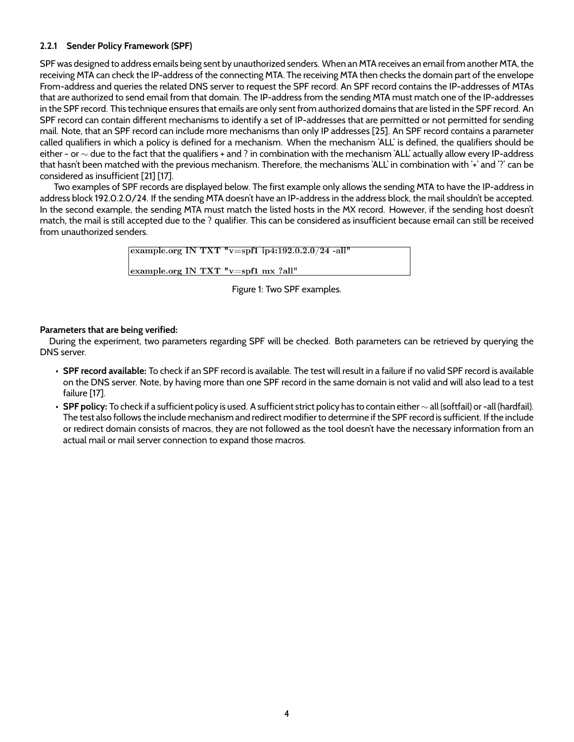### **2.2.1 Sender Policy Framework (SPF)**

SPF was designed to address emails being sent by unauthorized senders. When an MTA receives an email from another MTA, the receiving MTA can check the IP-address of the connecting MTA. The receiving MTA then checks the domain part of the envelope From-address and queries the related DNS server to request the SPF record. An SPF record contains the IP-addresses of MTAs that are authorized to send email from that domain. The IP-address from the sending MTA must match one of the IP-addresses in the SPF record. This technique ensures that emails are only sent from authorized domains that are listed in the SPF record. An SPF record can contain different mechanisms to identify a set of IP-addresses that are permitted or not permitted for sending mail. Note, that an SPF record can include more mechanisms than only IP addresses [25]. An SPF record contains a parameter called qualifiers in which a policy is defined for a mechanism. When the mechanism 'ALL' is defined, the qualifiers should be either - or ∼ due to the fact that the qualifiers + and ? in combination with the mechanism 'ALL' actually allow every IP-address that hasn't been matched with the previous mechanism. Therefore, the mechanisms 'ALL' in combination with '+' and '?' can be considered as insufficient [21] [17].

Two examples of SPF records are displayed below. The first example only allows the sending MTA to have the IP-address in address block 192.0.2.0/24. If the sending MTA doesn't have an IP-address in the address block, the mail shouldn't be accepted. In the second example, the sending MTA must match the listed hosts in the MX record. However, if the sending host doesn't match, the mail is still accepted due to the ? qualifier. This can be considered as insufficient because email can still be received from unauthorized senders.

> example.org IN TXT " $v=$ spf1 ip4:192.0.2.0/24 -all" example.org IN TXT "v=spf1 mx ?all"

> > Figure 1: Two SPF examples.

### **Parameters that are being verified:**

During the experiment, two parameters regarding SPF will be checked. Both parameters can be retrieved by querying the DNS server.

- **SPF record available:** To check if an SPF record is available. The test will result in a failure if no valid SPF record is available on the DNS server. Note, by having more than one SPF record in the same domain is not valid and will also lead to a test failure [17].
- **SPF policy:** To check if a sufficient policy is used. A sufficient strict policy has to contain either ∼ all (softfail) or -all (hardfail). The test also follows the include mechanism and redirect modifier to determine if the SPF record is sufficient. If the include or redirect domain consists of macros, they are not followed as the tool doesn't have the necessary information from an actual mail or mail server connection to expand those macros.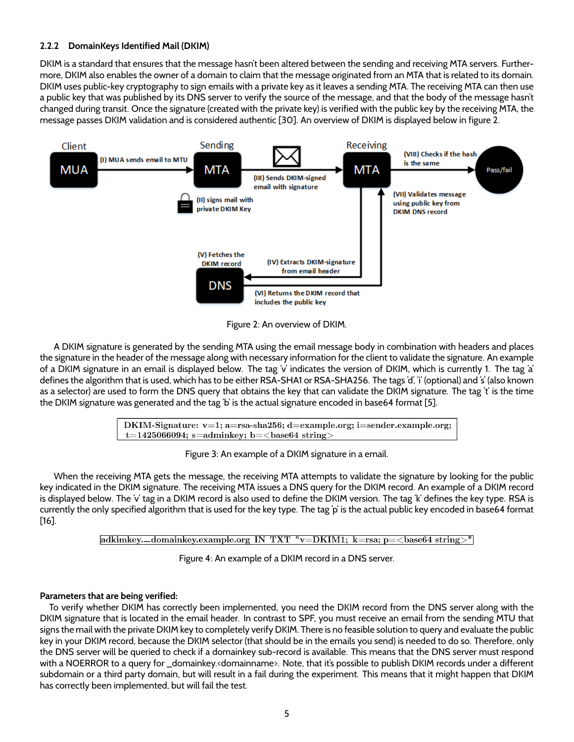### **2.2.2 DomainKeys Identified Mail (DKIM)**

DKIM is a standard that ensures that the message hasn't been altered between the sending and receiving MTA servers. Furthermore, DKIM also enables the owner of a domain to claim that the message originated from an MTA that is related to its domain. DKIM uses public-key cryptography to sign emails with a private key as it leaves a sending MTA. The receiving MTA can then use a public key that was published by its DNS server to verify the source of the message, and that the body of the message hasn't changed during transit. Once the signature (created with the private key) is verified with the public key by the receiving MTA, the message passes DKIM validation and is considered authentic [30]. An overview of DKIM is displayed below in figure 2.



Figure 2: An overview of DKIM.

A DKIM signature is generated by the sending MTA using the email message body in combination with headers and places the signature in the header of the message along with necessary information for the client to validate the signature. An example of a DKIM signature in an email is displayed below. The tag 'v' indicates the version of DKIM, which is currently 1. The tag 'a' defines the algorithm that is used, which has to be either RSA-SHA1 or RSA-SHA256. The tags 'd', 'i' (optional) and 's' (also known as a selector) are used to form the DNS query that obtains the key that can validate the DKIM signature. The tag 't' is the time the DKIM signature was generated and the tag 'b' is the actual signature encoded in base64 format [5].

> DKIM-Signature:  $v=1$ ; a=rsa-sha256; d=example.org; i=sender.example.org;  $t=1425066094$ ; s=adminkey; b=<br/>>base64 string>

> > Figure 3: An example of a DKIM signature in a email.

When the receiving MTA gets the message, the receiving MTA attempts to validate the signature by looking for the public key indicated in the DKIM signature. The receiving MTA issues a DNS query for the DKIM record. An example of a DKIM record is displayed below. The 'v' tag in a DKIM record is also used to define the DKIM version. The tag 'k' defines the key type. RSA is currently the only specified algorithm that is used for the key type. The tag 'p' is the actual public key encoded in base64 format [16].

adkimkey.-domainkey.example.org IN TXT "v=DKIM1; k=rsa; p=<br/>>base64 string>"

Figure 4: An example of a DKIM record in a DNS server.

#### **Parameters that are being verified:**

To verify whether DKIM has correctly been implemented, you need the DKIM record from the DNS server along with the DKIM signature that is located in the email header. In contrast to SPF, you must receive an email from the sending MTU that signs the mail with the private DKIM key to completely verify DKIM. There is no feasible solution to query and evaluate the public key in your DKIM record, because the DKIM selector (that should be in the emails you send) is needed to do so. Therefore, only the DNS server will be queried to check if a domainkey sub-record is available. This means that the DNS server must respond with a NOERROR to a query for \_domainkey.<domainname>. Note, that it's possible to publish DKIM records under a different subdomain or a third party domain, but will result in a fail during the experiment. This means that it might happen that DKIM has correctly been implemented, but will fail the test.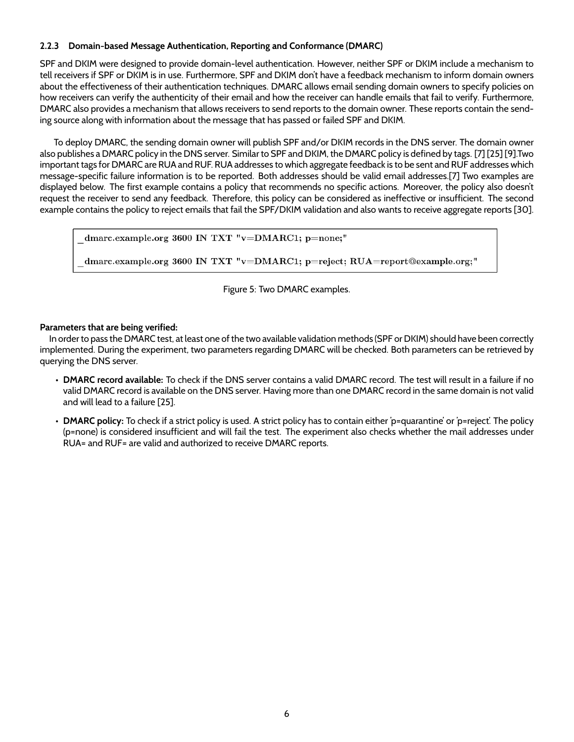### **2.2.3 Domain-based Message Authentication, Reporting and Conformance (DMARC)**

SPF and DKIM were designed to provide domain-level authentication. However, neither SPF or DKIM include a mechanism to tell receivers if SPF or DKIM is in use. Furthermore, SPF and DKIM don't have a feedback mechanism to inform domain owners about the effectiveness of their authentication techniques. DMARC allows email sending domain owners to specify policies on how receivers can verify the authenticity of their email and how the receiver can handle emails that fail to verify. Furthermore, DMARC also provides a mechanism that allows receivers to send reports to the domain owner. These reports contain the sending source along with information about the message that has passed or failed SPF and DKIM.

To deploy DMARC, the sending domain owner will publish SPF and/or DKIM records in the DNS server. The domain owner also publishes a DMARC policy in the DNS server. Similar to SPF and DKIM, the DMARC policy is defined by tags. [7] [25] [9].Two important tags for DMARC are RUA and RUF. RUA addresses to which aggregate feedback is to be sent and RUF addresses which message-specific failure information is to be reported. Both addresses should be valid email addresses.[7] Two examples are displayed below. The first example contains a policy that recommends no specific actions. Moreover, the policy also doesn't request the receiver to send any feedback. Therefore, this policy can be considered as ineffective or insufficient. The second example contains the policy to reject emails that fail the SPF/DKIM validation and also wants to receive aggregate reports [30].

dmarc.example.org 3600 IN TXT "v=DMARC1; p=none;"

dmarc.example.org 3600 IN TXT "v=DMARC1; p=reject; RUA=report@example.org;"

Figure 5: Two DMARC examples.

### **Parameters that are being verified:**

In order to pass the DMARC test, at least one of the two available validation methods (SPF or DKIM) should have been correctly implemented. During the experiment, two parameters regarding DMARC will be checked. Both parameters can be retrieved by querying the DNS server.

- **DMARC record available:** To check if the DNS server contains a valid DMARC record. The test will result in a failure if no valid DMARC record is available on the DNS server. Having more than one DMARC record in the same domain is not valid and will lead to a failure [25].
- **DMARC policy:** To check if a strict policy is used. A strict policy has to contain either 'p=quarantine' or 'p=reject'. The policy (p=none) is considered insufficient and will fail the test. The experiment also checks whether the mail addresses under RUA= and RUF= are valid and authorized to receive DMARC reports.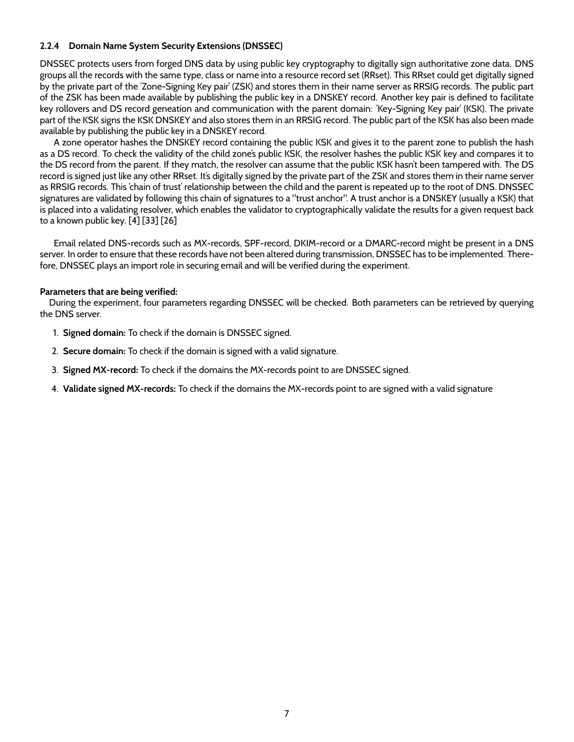### **2.2.4 Domain Name System Security Extensions (DNSSEC)**

DNSSEC protects users from forged DNS data by using public key cryptography to digitally sign authoritative zone data. DNS groups all the records with the same type, class or name into a resource record set (RRset). This RRset could get digitally signed by the private part of the 'Zone-Signing Key pair' (ZSK) and stores them in their name server as RRSIG records. The public part of the ZSK has been made available by publishing the public key in a DNSKEY record. Another key pair is defined to facilitate key rollovers and DS record geneation and communication with the parent domain: 'Key-Signing Key pair' (KSK). The private part of the KSK signs the KSK DNSKEY and also stores them in an RRSIG record. The public part of the KSK has also been made available by publishing the public key in a DNSKEY record.

A zone operator hashes the DNSKEY record containing the public KSK and gives it to the parent zone to publish the hash as a DS record. To check the validity of the child zone's public KSK, the resolver hashes the public KSK key and compares it to the DS record from the parent. If they match, the resolver can assume that the public KSK hasn't been tampered with. The DS record is signed just like any other RRset. It's digitally signed by the private part of the ZSK and stores them in their name server as RRSIG records. This 'chain of trust' relationship between the child and the parent is repeated up to the root of DNS. DNSSEC signatures are validated by following this chain of signatures to a "trust anchor". A trust anchor is a DNSKEY (usually a KSK) that is placed into a validating resolver, which enables the validator to cryptographically validate the results for a given request back to a known public key. [4] [33] [26]

Email related DNS-records such as MX-records, SPF-record, DKIM-record or a DMARC-record might be present in a DNS server. In order to ensure that these records have not been altered during transmission, DNSSEC has to be implemented. Therefore, DNSSEC plays an import role in securing email and will be verified during the experiment.

#### **Parameters that are being verified:**

During the experiment, four parameters regarding DNSSEC will be checked. Both parameters can be retrieved by querying the DNS server.

- 1. **Signed domain:** To check if the domain is DNSSEC signed.
- 2. **Secure domain:** To check if the domain is signed with a valid signature.
- 3. **Signed MX-record:** To check if the domains the MX-records point to are DNSSEC signed.
- 4. **Validate signed MX-records:** To check if the domains the MX-records point to are signed with a valid signature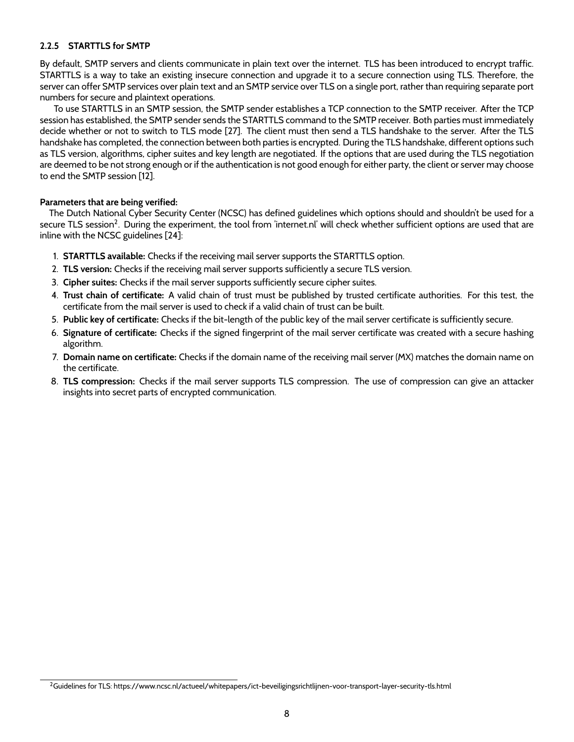### **2.2.5 STARTTLS for SMTP**

By default, SMTP servers and clients communicate in plain text over the internet. TLS has been introduced to encrypt traffic. STARTTLS is a way to take an existing insecure connection and upgrade it to a secure connection using TLS. Therefore, the server can offer SMTP services over plain text and an SMTP service over TLS on a single port, rather than requiring separate port numbers for secure and plaintext operations.

To use STARTTLS in an SMTP session, the SMTP sender establishes a TCP connection to the SMTP receiver. After the TCP session has established, the SMTP sender sends the STARTTLS command to the SMTP receiver. Both parties must immediately decide whether or not to switch to TLS mode [27]. The client must then send a TLS handshake to the server. After the TLS handshake has completed, the connection between both parties is encrypted. During the TLS handshake, different options such as TLS version, algorithms, cipher suites and key length are negotiated. If the options that are used during the TLS negotiation are deemed to be not strong enough or if the authentication is not good enough for either party, the client or server may choose to end the SMTP session [12].

#### **Parameters that are being verified:**

The Dutch National Cyber Security Center (NCSC) has defined guidelines which options should and shouldn't be used for a secure TLS session $^2$ . During the experiment, the tool from 'internet.nl' will check whether sufficient options are used that are inline with the NCSC guidelines [24]:

- 1. **STARTTLS available:** Checks if the receiving mail server supports the STARTTLS option.
- 2. **TLS version:** Checks if the receiving mail server supports sufficiently a secure TLS version.
- 3. **Cipher suites:** Checks if the mail server supports sufficiently secure cipher suites.
- 4. **Trust chain of certificate:** A valid chain of trust must be published by trusted certificate authorities. For this test, the certificate from the mail server is used to check if a valid chain of trust can be built.
- 5. **Public key of certificate:** Checks if the bit-length of the public key of the mail server certificate is sufficiently secure.
- 6. **Signature of certificate:** Checks if the signed fingerprint of the mail server certificate was created with a secure hashing algorithm.
- 7. **Domain name on certificate:** Checks if the domain name of the receiving mail server (MX) matches the domain name on the certificate.
- 8. **TLS compression:** Checks if the mail server supports TLS compression. The use of compression can give an attacker insights into secret parts of encrypted communication.

<sup>2</sup>Guidelines for TLS: https://www.ncsc.nl/actueel/whitepapers/ict-beveiligingsrichtlijnen-voor-transport-layer-security-tls.html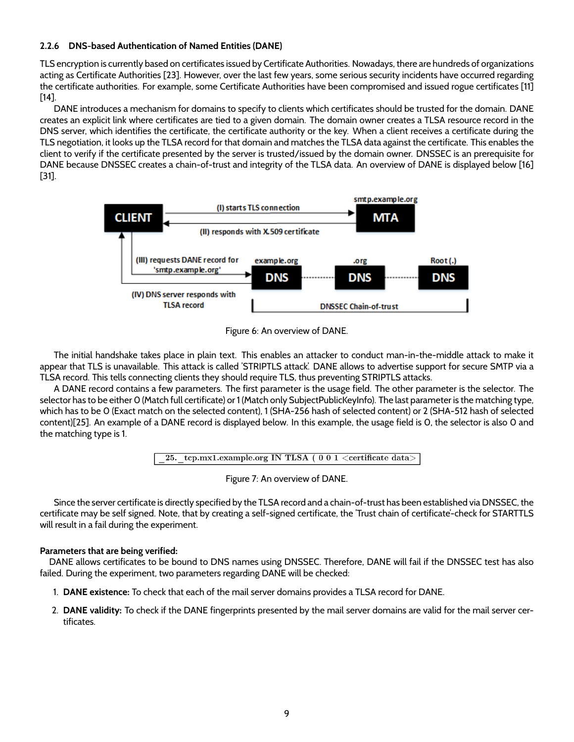### **2.2.6 DNS-based Authentication of Named Entities (DANE)**

TLS encryption is currently based on certificates issued by Certificate Authorities. Nowadays, there are hundreds of organizations acting as Certificate Authorities [23]. However, over the last few years, some serious security incidents have occurred regarding the certificate authorities. For example, some Certificate Authorities have been compromised and issued rogue certificates [11] [14].

DANE introduces a mechanism for domains to specify to clients which certificates should be trusted for the domain. DANE creates an explicit link where certificates are tied to a given domain. The domain owner creates a TLSA resource record in the DNS server, which identifies the certificate, the certificate authority or the key. When a client receives a certificate during the TLS negotiation, it looks up the TLSA record for that domain and matches the TLSA data against the certificate. This enables the client to verify if the certificate presented by the server is trusted/issued by the domain owner. DNSSEC is an prerequisite for DANE because DNSSEC creates a chain-of-trust and integrity of the TLSA data. An overview of DANE is displayed below [16] [31].





The initial handshake takes place in plain text. This enables an attacker to conduct man-in-the-middle attack to make it appear that TLS is unavailable. This attack is called 'STRIPTLS attack'. DANE allows to advertise support for secure SMTP via a TLSA record. This tells connecting clients they should require TLS, thus preventing STRIPTLS attacks.

A DANE record contains a few parameters. The first parameter is the usage field. The other parameter is the selector. The selector has to be either 0 (Match full certificate) or 1 (Match only SubjectPublicKeyInfo). The last parameter is the matching type, which has to be 0 (Exact match on the selected content), 1 (SHA-256 hash of selected content) or 2 (SHA-512 hash of selected content)[25]. An example of a DANE record is displayed below. In this example, the usage field is 0, the selector is also 0 and the matching type is 1.

$$
\boxed{\text{ 25. } \text{ tcp.mx1}.\text{example.org IN TLSA ( 0 0 1 < center
$$

Figure 7: An overview of DANE.

Since the server certificate is directly specified by the TLSA record and a chain-of-trust has been established via DNSSEC, the certificate may be self signed. Note, that by creating a self-signed certificate, the 'Trust chain of certificate'-check for STARTTLS will result in a fail during the experiment.

#### **Parameters that are being verified:**

DANE allows certificates to be bound to DNS names using DNSSEC. Therefore, DANE will fail if the DNSSEC test has also failed. During the experiment, two parameters regarding DANE will be checked:

- 1. **DANE existence:** To check that each of the mail server domains provides a TLSA record for DANE.
- 2. **DANE validity:** To check if the DANE fingerprints presented by the mail server domains are valid for the mail server certificates.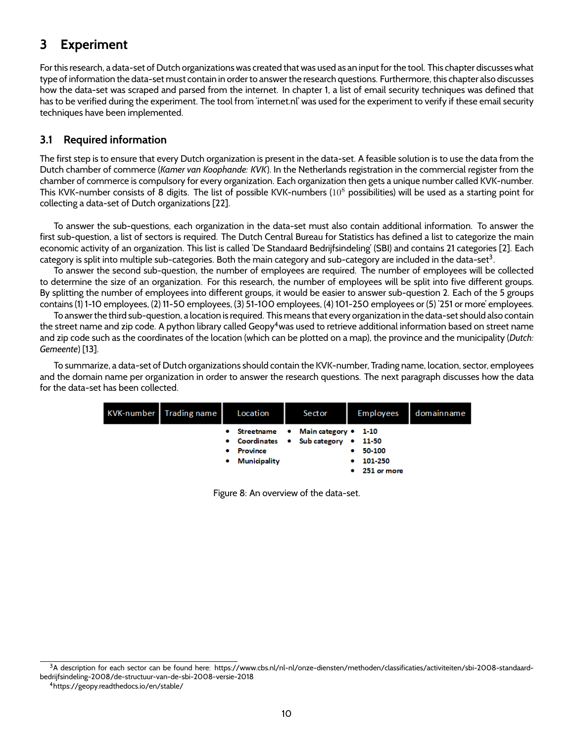# **3 Experiment**

For this research, a data-set of Dutch organizations was created that was used as an input for the tool. This chapter discusses what type of information the data-set must contain in order to answer the research questions. Furthermore, this chapter also discusses how the data-set was scraped and parsed from the internet. In chapter 1, a list of email security techniques was defined that has to be verified during the experiment. The tool from 'internet.nl' was used for the experiment to verify if these email security techniques have been implemented.

# **3.1 Required information**

The first step is to ensure that every Dutch organization is present in the data-set. A feasible solution is to use the data from the Dutch chamber of commerce (*Kamer van Koophande: KVK*). In the Netherlands registration in the commercial register from the chamber of commerce is compulsory for every organization. Each organization then gets a unique number called KVK-number. This KVK-number consists of 8 digits. The list of possible KVK-numbers  $(10^8$  possibilities) will be used as a starting point for collecting a data-set of Dutch organizations [22].

To answer the sub-questions, each organization in the data-set must also contain additional information. To answer the first sub-question, a list of sectors is required. The Dutch Central Bureau for Statistics has defined a list to categorize the main economic activity of an organization. This list is called 'De Standaard Bedrijfsindeling' (SBI) and contains 21 categories [2]. Each category is split into multiple sub-categories. Both the main category and sub-category are included in the data-set<sup>3</sup>.

To answer the second sub-question, the number of employees are required. The number of employees will be collected to determine the size of an organization. For this research, the number of employees will be split into five different groups. By splitting the number of employees into different groups, it would be easier to answer sub-question 2. Each of the 5 groups contains (1) 1-10 employees, (2) 11-50 employees, (3) 51-100 employees, (4) 101-250 employees or (5) '251 or more' employees.

To answer the third sub-question, a location is required. This means that every organization in the data-set should also contain the street name and zip code. A python library called Geopy $4$ was used to retrieve additional information based on street name and zip code such as the coordinates of the location (which can be plotted on a map), the province and the municipality (*Dutch: Gemeente*) [13].

To summarize, a data-set of Dutch organizations should contain the KVK-number, Trading name, location, sector, employees and the domain name per organization in order to answer the research questions. The next paragraph discusses how the data for the data-set has been collected.

| KVK-number Trading name | Location                     | Sector                                                                      | Employees                                                   | domainname |
|-------------------------|------------------------------|-----------------------------------------------------------------------------|-------------------------------------------------------------|------------|
|                         | • Province<br>• Municipality | • Streetname • Main category • 1-10<br>• Coordinates • Sub category • 11-50 | $• 50-100$<br>101-250<br>$\bullet$<br>$\bullet$ 251 or more |            |

Figure 8: An overview of the data-set.

<sup>3</sup>A description for each sector can be found here: https://www.cbs.nl/nl-nl/onze-diensten/methoden/classificaties/activiteiten/sbi-2008-standaardbedrijfsindeling-2008/de-structuur-van-de-sbi-2008-versie-2018

<sup>4</sup>https://geopy.readthedocs.io/en/stable/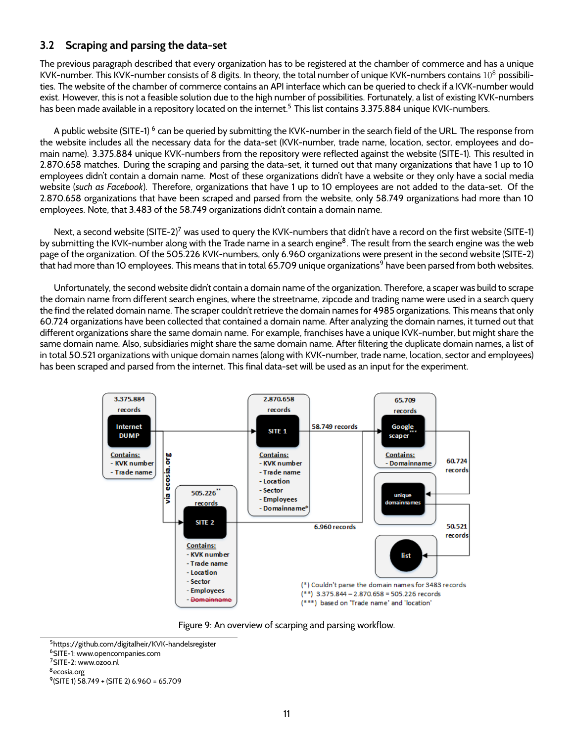### **3.2 Scraping and parsing the data-set**

The previous paragraph described that every organization has to be registered at the chamber of commerce and has a unique KVK-number. This KVK-number consists of 8 digits. In theory, the total number of unique KVK-numbers contains  $10^8$  possibilities. The website of the chamber of commerce contains an API interface which can be queried to check if a KVK-number would exist. However, this is not a feasible solution due to the high number of possibilities. Fortunately, a list of existing KVK-numbers has been made available in a repository located on the internet.<sup>5</sup> This list contains 3.375.884 unique KVK-numbers.

A public website (SITE-1)  $^6$  can be queried by submitting the KVK-number in the search field of the URL. The response from the website includes all the necessary data for the data-set (KVK-number, trade name, location, sector, employees and domain name). 3.375.884 unique KVK-numbers from the repository were reflected against the website (SITE-1). This resulted in 2.870.658 matches. During the scraping and parsing the data-set, it turned out that many organizations that have 1 up to 10 employees didn't contain a domain name. Most of these organizations didn't have a website or they only have a social media website (*such as Facebook*). Therefore, organizations that have 1 up to 10 employees are not added to the data-set. Of the 2.870.658 organizations that have been scraped and parsed from the website, only 58.749 organizations had more than 10 employees. Note, that 3.483 of the 58.749 organizations didn't contain a domain name.

Next, a second website (SITE-2)<sup>7</sup> was used to query the KVK-numbers that didn't have a record on the first website (SITE-1) by submitting the KVK-number along with the Trade name in a search engine<sup>8</sup>. The result from the search engine was the web page of the organization. Of the 505.226 KVK-numbers, only 6.960 organizations were present in the second website (SITE-2) that had more than 10 employees. This means that in total 65.709 unique organizations<sup>9</sup> have been parsed from both websites.

Unfortunately, the second website didn't contain a domain name of the organization. Therefore, a scaper was build to scrape the domain name from different search engines, where the streetname, zipcode and trading name were used in a search query the find the related domain name. The scraper couldn't retrieve the domain names for 4985 organizations. This means that only 60.724 organizations have been collected that contained a domain name. After analyzing the domain names, it turned out that different organizations share the same domain name. For example, franchises have a unique KVK-number, but might share the same domain name. Also, subsidiaries might share the same domain name. After filtering the duplicate domain names, a list of in total 50.521 organizations with unique domain names (along with KVK-number, trade name, location, sector and employees) has been scraped and parsed from the internet. This final data-set will be used as an input for the experiment.



Figure 9: An overview of scarping and parsing workflow.

- <sup>6</sup>SITE-1: www.opencompanies.com
- <sup>7</sup>SITE-2: www.ozoo.nl
- <sup>8</sup>ecosia.org

<sup>5</sup>https://github.com/digitalheir/KVK-handelsregister

<sup>9</sup> (SITE 1) 58.749 + (SITE 2) 6.960 = 65.709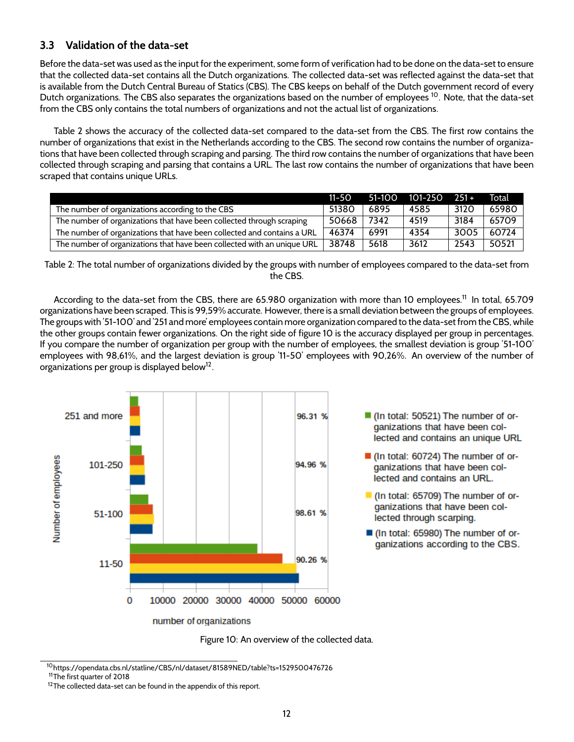# **3.3 Validation of the data-set**

Before the data-set was used as the input for the experiment, some form of verification had to be done on the data-set to ensure that the collected data-set contains all the Dutch organizations. The collected data-set was reflected against the data-set that is available from the Dutch Central Bureau of Statics (CBS). The CBS keeps on behalf of the Dutch government record of every Dutch organizations. The CBS also separates the organizations based on the number of employees<sup>10</sup>. Note, that the data-set from the CBS only contains the total numbers of organizations and not the actual list of organizations.

Table 2 shows the accuracy of the collected data-set compared to the data-set from the CBS. The first row contains the number of organizations that exist in the Netherlands according to the CBS. The second row contains the number of organizations that have been collected through scraping and parsing. The third row contains the number of organizations that have been collected through scraping and parsing that contains a URL. The last row contains the number of organizations that have been scraped that contains unique URLs.

|                                                                         | $11 - 50$ | $51-100$ | 101-250 | $1251 +$ | Total |
|-------------------------------------------------------------------------|-----------|----------|---------|----------|-------|
| The number of organizations according to the CBS                        | 51380     | 6895     | 4585    | 3120     | 65980 |
| The number of organizations that have been collected through scraping   | 50668     | 7342     | 4519    | 3184     | 65709 |
| The number of organizations that have been collected and contains a URL | 46374     | 6991     | 4354    | 3005     | 60724 |
| The number of organizations that have been collected with an unique URL | 38748     | 5618     | 3612    | 2543     | 50521 |

Table 2: The total number of organizations divided by the groups with number of employees compared to the data-set from the CBS.

According to the data-set from the CBS, there are 65.980 organization with more than 10 employees.<sup>11</sup> In total, 65.709 organizations have been scraped. This is 99,59% accurate. However, there is a small deviation between the groups of employees. The groups with '51-100' and '251 and more' employees contain more organization compared to the data-set from the CBS, while the other groups contain fewer organizations. On the right side of figure 10 is the accuracy displayed per group in percentages. If you compare the number of organization per group with the number of employees, the smallest deviation is group '51-100' employees with 98,61%, and the largest deviation is group '11-50' employees with 90,26%. An overview of the number of organizations per group is displayed below $^{12}.$ 



Figure 10: An overview of the collected data.

- (In total: 60724) The number of organizations that have been collected and contains an URL.
- If (In total: 65709) The number of organizations that have been collected through scarping.
- (In total: 65980) The number of organizations according to the CBS.

<sup>10</sup>https://opendata.cbs.nl/statline/CBS/nl/dataset/81589NED/table?ts=1529500476726

<sup>11</sup>The first quarter of 2018

 $12$ The collected data-set can be found in the appendix of this report.

<sup>■ (</sup>In total: 50521) The number of orqanizations that have been collected and contains an unique URL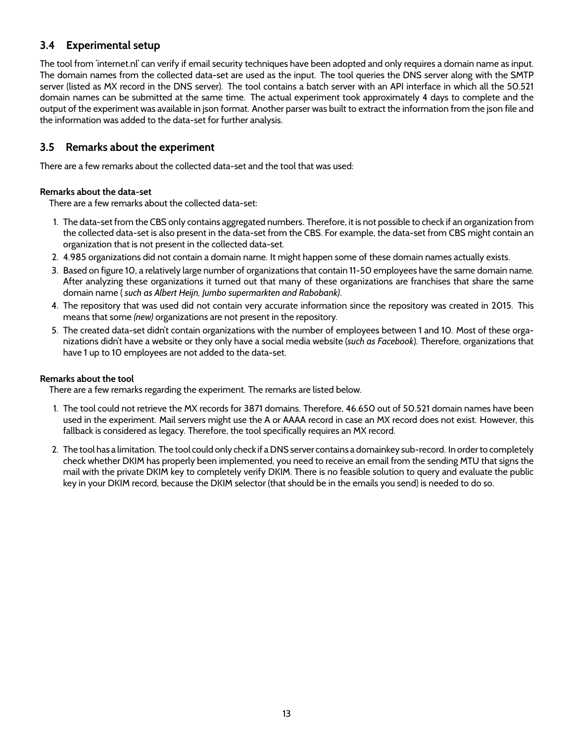# **3.4 Experimental setup**

The tool from 'internet.nl' can verify if email security techniques have been adopted and only requires a domain name as input. The domain names from the collected data-set are used as the input. The tool queries the DNS server along with the SMTP server (listed as MX record in the DNS server). The tool contains a batch server with an API interface in which all the 50.521 domain names can be submitted at the same time. The actual experiment took approximately 4 days to complete and the output of the experiment was available in json format. Another parser was built to extract the information from the json file and the information was added to the data-set for further analysis.

### **3.5 Remarks about the experiment**

There are a few remarks about the collected data-set and the tool that was used:

### **Remarks about the data-set**

There are a few remarks about the collected data-set:

- 1. The data-set from the CBS only contains aggregated numbers. Therefore, it is not possible to check if an organization from the collected data-set is also present in the data-set from the CBS. For example, the data-set from CBS might contain an organization that is not present in the collected data-set.
- 2. 4.985 organizations did not contain a domain name. It might happen some of these domain names actually exists.
- 3. Based on figure 10, a relatively large number of organizations that contain 11-50 employees have the same domain name. After analyzing these organizations it turned out that many of these organizations are franchises that share the same domain name ( *such as Albert Heijn, Jumbo supermarkten and Rabobank)*.
- 4. The repository that was used did not contain very accurate information since the repository was created in 2015. This means that some *(new)* organizations are not present in the repository.
- 5. The created data-set didn't contain organizations with the number of employees between 1 and 10. Most of these organizations didn't have a website or they only have a social media website (*such as Facebook*). Therefore, organizations that have 1 up to 10 employees are not added to the data-set.

### **Remarks about the tool**

There are a few remarks regarding the experiment. The remarks are listed below.

- 1. The tool could not retrieve the MX records for 3871 domains. Therefore, 46.650 out of 50.521 domain names have been used in the experiment. Mail servers might use the A or AAAA record in case an MX record does not exist. However, this fallback is considered as legacy. Therefore, the tool specifically requires an MX record.
- 2. The tool has a limitation. The tool could only check if a DNS server contains a domainkey sub-record. In order to completely check whether DKIM has properly been implemented, you need to receive an email from the sending MTU that signs the mail with the private DKIM key to completely verify DKIM. There is no feasible solution to query and evaluate the public key in your DKIM record, because the DKIM selector (that should be in the emails you send) is needed to do so.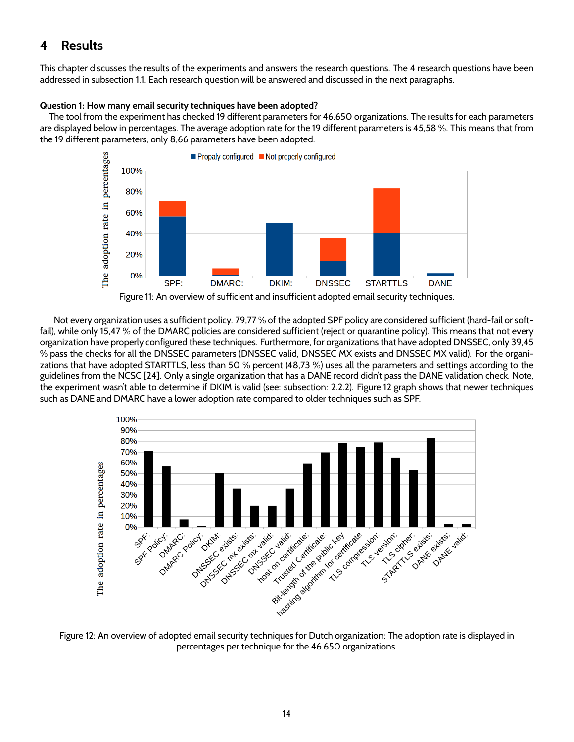# **4 Results**

This chapter discusses the results of the experiments and answers the research questions. The 4 research questions have been addressed in subsection 1.1. Each research question will be answered and discussed in the next paragraphs.

### **Question 1: How many email security techniques have been adopted?**

The tool from the experiment has checked 19 different parameters for 46.650 organizations. The results for each parameters are displayed below in percentages. The average adoption rate for the 19 different parameters is 45,58 %. This means that from the 19 different parameters, only 8,66 parameters have been adopted.



Not every organization uses a sufficient policy. 79,77 % of the adopted SPF policy are considered sufficient (hard-fail or softfail), while only 15,47 % of the DMARC policies are considered sufficient (reject or quarantine policy). This means that not every organization have properly configured these techniques. Furthermore, for organizations that have adopted DNSSEC, only 39,45 % pass the checks for all the DNSSEC parameters (DNSSEC valid, DNSSEC MX exists and DNSSEC MX valid). For the organizations that have adopted STARTTLS, less than 50 % percent (48,73 %) uses all the parameters and settings according to the guidelines from the NCSC [24]. Only a single organization that has a DANE record didn't pass the DANE validation check. Note, the experiment wasn't able to determine if DKIM is valid (see: subsection: 2.2.2). Figure 12 graph shows that newer techniques such as DANE and DMARC have a lower adoption rate compared to older techniques such as SPF.



Figure 12: An overview of adopted email security techniques for Dutch organization: The adoption rate is displayed in percentages per technique for the 46.650 organizations.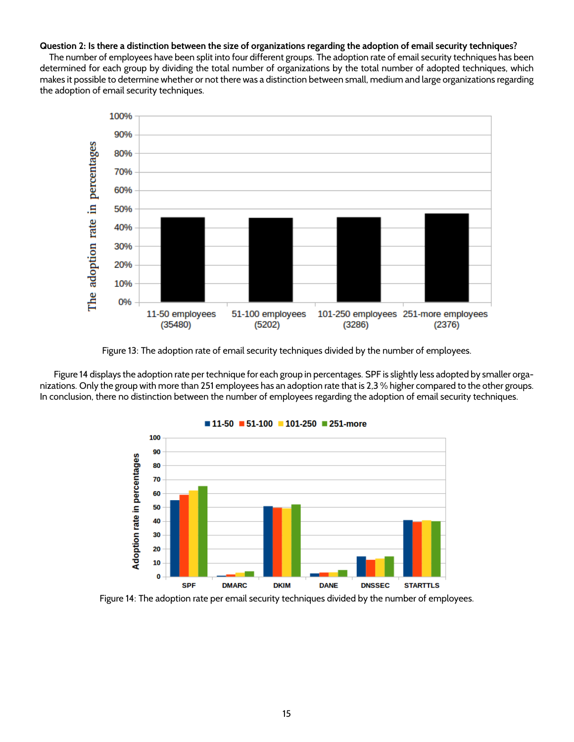#### **Question 2: Is there a distinction between the size of organizations regarding the adoption of email security techniques?**

The number of employees have been split into four different groups. The adoption rate of email security techniques has been determined for each group by dividing the total number of organizations by the total number of adopted techniques, which makes it possible to determine whether or not there was a distinction between small, medium and large organizations regarding the adoption of email security techniques.



Figure 13: The adoption rate of email security techniques divided by the number of employees.

Figure 14 displays the adoption rate per technique for each group in percentages. SPF is slightly less adopted by smaller organizations. Only the group with more than 251 employees has an adoption rate that is 2,3 % higher compared to the other groups. In conclusion, there no distinction between the number of employees regarding the adoption of email security techniques.



 $11-50$  51-100 101-250 251-more

Figure 14: The adoption rate per email security techniques divided by the number of employees.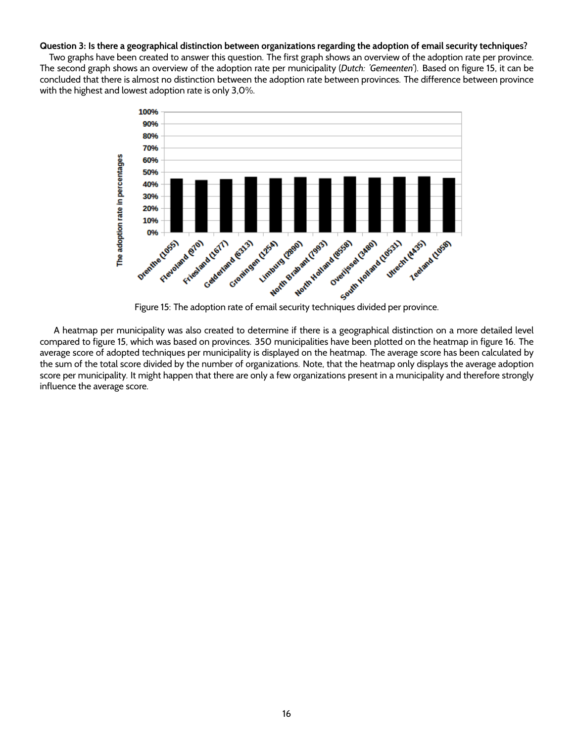#### **Question 3: Is there a geographical distinction between organizations regarding the adoption of email security techniques?**

Two graphs have been created to answer this question. The first graph shows an overview of the adoption rate per province. The second graph shows an overview of the adoption rate per municipality (*Dutch: 'Gemeenten'*). Based on figure 15, it can be concluded that there is almost no distinction between the adoption rate between provinces. The difference between province with the highest and lowest adoption rate is only 3,0%.



A heatmap per municipality was also created to determine if there is a geographical distinction on a more detailed level compared to figure 15, which was based on provinces. 350 municipalities have been plotted on the heatmap in figure 16. The average score of adopted techniques per municipality is displayed on the heatmap. The average score has been calculated by the sum of the total score divided by the number of organizations. Note, that the heatmap only displays the average adoption score per municipality. It might happen that there are only a few organizations present in a municipality and therefore strongly influence the average score.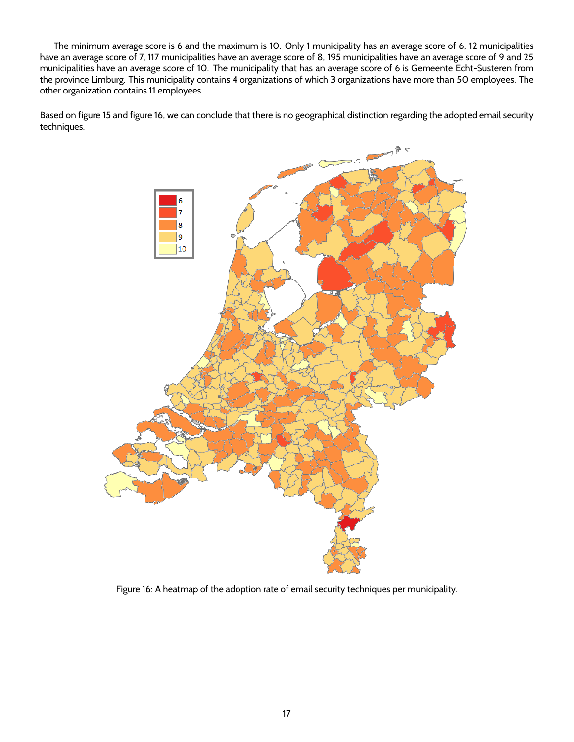The minimum average score is 6 and the maximum is 10. Only 1 municipality has an average score of 6, 12 municipalities have an average score of 7, 117 municipalities have an average score of 8, 195 municipalities have an average score of 9 and 25 municipalities have an average score of 10. The municipality that has an average score of 6 is Gemeente Echt-Susteren from the province Limburg. This municipality contains 4 organizations of which 3 organizations have more than 50 employees. The other organization contains 11 employees.

Based on figure 15 and figure 16, we can conclude that there is no geographical distinction regarding the adopted email security techniques.



Figure 16: A heatmap of the adoption rate of email security techniques per municipality.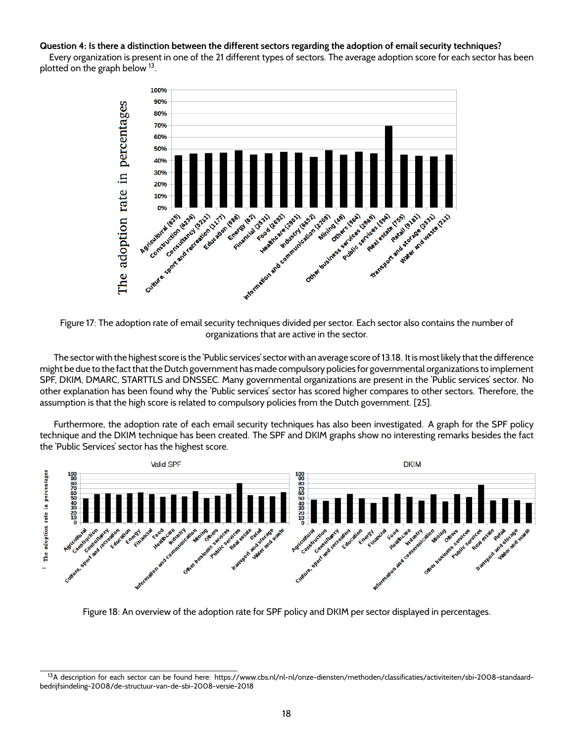#### **Question 4: Is there a distinction between the different sectors regarding the adoption of email security techniques?**

Every organization is present in one of the 21 different types of sectors. The average adoption score for each sector has been plotted on the graph below <sup>13</sup>.



Figure 17: The adoption rate of email security techniques divided per sector. Each sector also contains the number of organizations that are active in the sector.

The sector with the highest score is the 'Public services' sector with an average score of 13.18. It is most likely that the difference might be due to the fact that the Dutch government has made compulsory policies for governmental organizations to implement SPF, DKIM, DMARC, STARTTLS and DNSSEC. Many governmental organizations are present in the 'Public services' sector. No other explanation has been found why the 'Public services' sector has scored higher compares to other sectors. Therefore, the assumption is that the high score is related to compulsory policies from the Dutch government. [25].

Furthermore, the adoption rate of each email security techniques has also been investigated. A graph for the SPF policy technique and the DKIM technique has been created. The SPF and DKIM graphs show no interesting remarks besides the fact the 'Public Services' sector has the highest score.



Figure 18: An overview of the adoption rate for SPF policy and DKIM per sector displayed in percentages.

<sup>&</sup>lt;sup>13</sup>A description for each sector can be found here: https://www.cbs.nl/nl-nl/onze-diensten/methoden/classificaties/activiteiten/sbi-2008-standaardbedrijfsindeling-2008/de-structuur-van-de-sbi-2008-versie-2018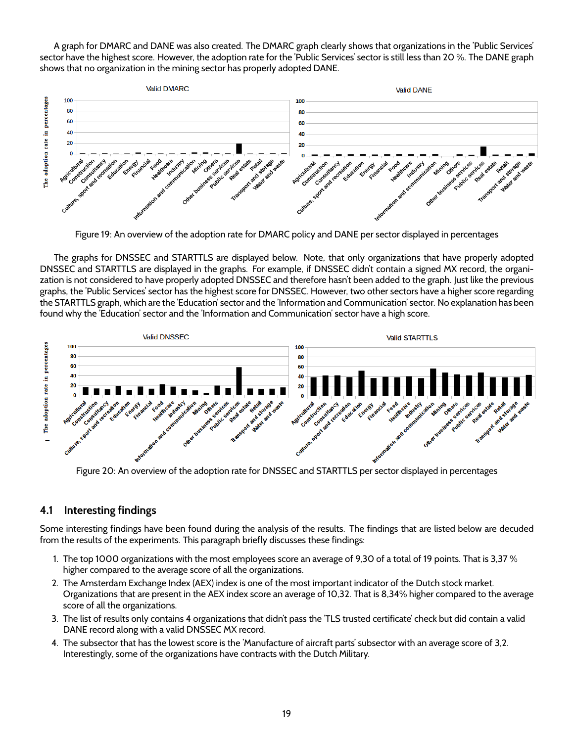A graph for DMARC and DANE was also created. The DMARC graph clearly shows that organizations in the 'Public Services' sector have the highest score. However, the adoption rate for the 'Public Services' sector is still less than 20 %. The DANE graph shows that no organization in the mining sector has properly adopted DANE.



Figure 19: An overview of the adoption rate for DMARC policy and DANE per sector displayed in percentages

The graphs for DNSSEC and STARTTLS are displayed below. Note, that only organizations that have properly adopted DNSSEC and STARTTLS are displayed in the graphs. For example, if DNSSEC didn't contain a signed MX record, the organization is not considered to have properly adopted DNSSEC and therefore hasn't been added to the graph. Just like the previous graphs, the 'Public Services' sector has the highest score for DNSSEC. However, two other sectors have a higher score regarding the STARTTLS graph, which are the 'Education' sector and the 'Information and Communication' sector. No explanation has been found why the 'Education' sector and the 'Information and Communication' sector have a high score.



Figure 20: An overview of the adoption rate for DNSSEC and STARTTLS per sector displayed in percentages

### **4.1 Interesting findings**

Some interesting findings have been found during the analysis of the results. The findings that are listed below are decuded from the results of the experiments. This paragraph briefly discusses these findings:

- 1. The top 1000 organizations with the most employees score an average of 9,30 of a total of 19 points. That is 3,37 % higher compared to the average score of all the organizations.
- 2. The Amsterdam Exchange Index (AEX) index is one of the most important indicator of the Dutch stock market. Organizations that are present in the AEX index score an average of 10,32. That is 8,34% higher compared to the average score of all the organizations.
- 3. The list of results only contains 4 organizations that didn't pass the 'TLS trusted certificate' check but did contain a valid DANE record along with a valid DNSSEC MX record.
- 4. The subsector that has the lowest score is the 'Manufacture of aircraft parts' subsector with an average score of 3,2. Interestingly, some of the organizations have contracts with the Dutch Military.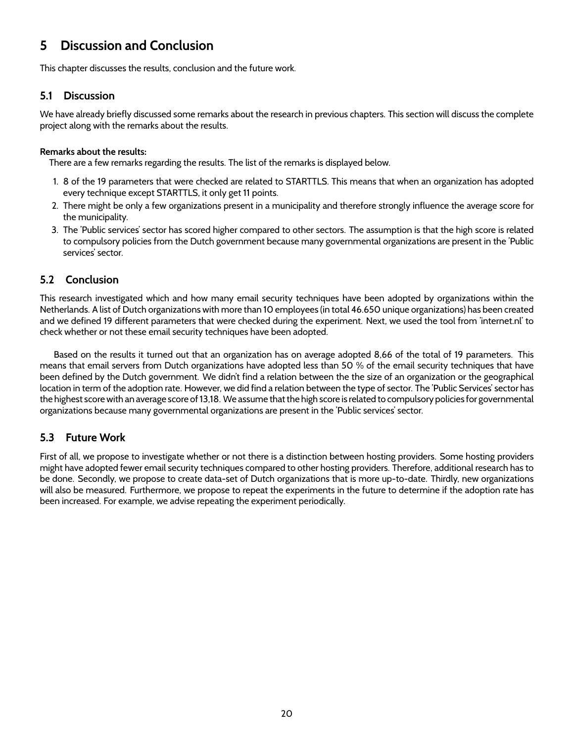# **5 Discussion and Conclusion**

This chapter discusses the results, conclusion and the future work.

### **5.1 Discussion**

We have already briefly discussed some remarks about the research in previous chapters. This section will discuss the complete project along with the remarks about the results.

### **Remarks about the results:**

There are a few remarks regarding the results. The list of the remarks is displayed below.

- 1. 8 of the 19 parameters that were checked are related to STARTTLS. This means that when an organization has adopted every technique except STARTTLS, it only get 11 points.
- 2. There might be only a few organizations present in a municipality and therefore strongly influence the average score for the municipality.
- 3. The 'Public services' sector has scored higher compared to other sectors. The assumption is that the high score is related to compulsory policies from the Dutch government because many governmental organizations are present in the 'Public services' sector.

# **5.2 Conclusion**

This research investigated which and how many email security techniques have been adopted by organizations within the Netherlands. A list of Dutch organizations with more than 10 employees (in total 46.650 unique organizations) has been created and we defined 19 different parameters that were checked during the experiment. Next, we used the tool from 'internet.nl' to check whether or not these email security techniques have been adopted.

Based on the results it turned out that an organization has on average adopted 8,66 of the total of 19 parameters. This means that email servers from Dutch organizations have adopted less than 50 % of the email security techniques that have been defined by the Dutch government. We didn't find a relation between the the size of an organization or the geographical location in term of the adoption rate. However, we did find a relation between the type of sector. The 'Public Services' sector has the highest score with an average score of 13,18. We assume that the high score is related to compulsory policies for governmental organizations because many governmental organizations are present in the 'Public services' sector.

# **5.3 Future Work**

First of all, we propose to investigate whether or not there is a distinction between hosting providers. Some hosting providers might have adopted fewer email security techniques compared to other hosting providers. Therefore, additional research has to be done. Secondly, we propose to create data-set of Dutch organizations that is more up-to-date. Thirdly, new organizations will also be measured. Furthermore, we propose to repeat the experiments in the future to determine if the adoption rate has been increased. For example, we advise repeating the experiment periodically.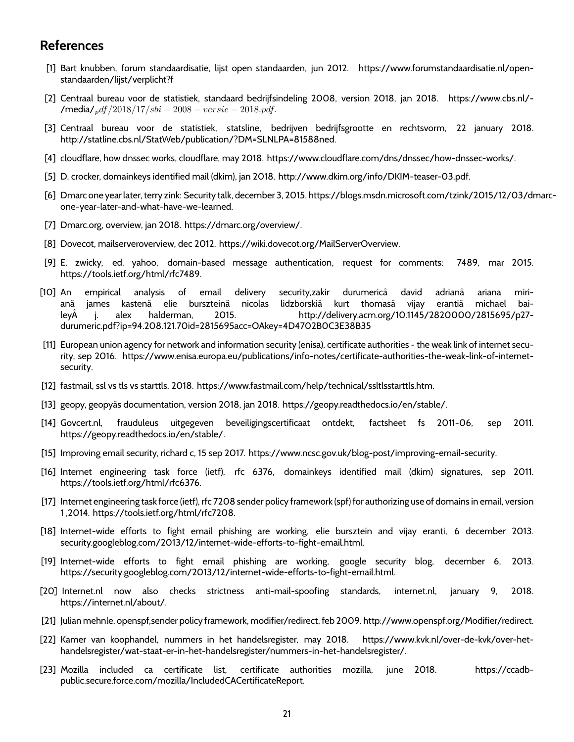# **References**

- [1] Bart knubben, forum standaardisatie, lijst open standaarden, jun 2012. https://www.forumstandaardisatie.nl/openstandaarden/lijst/verplicht?f
- [2] Centraal bureau voor de statistiek, standaard bedrijfsindeling 2008, version 2018, jan 2018. https://www.cbs.nl/- /media/pdf /2018/17/sbi − 2008 − versie − 2018.pdf.
- [3] Centraal bureau voor de statistiek, statsline, bedrijven bedrijfsgrootte en rechtsvorm, 22 january 2018. http://statline.cbs.nl/StatWeb/publication/?DM=SLNLPA=81588ned.
- [4] cloudflare, how dnssec works, cloudflare, may 2018. https://www.cloudflare.com/dns/dnssec/how-dnssec-works/.
- [5] D. crocker, domainkeys identified mail (dkim), jan 2018. http://www.dkim.org/info/DKIM-teaser-03.pdf.
- [6] Dmarc one year later, terry zink: Security talk, december 3, 2015. https://blogs.msdn.microsoft.com/tzink/2015/12/03/dmarcone-year-later-and-what-have-we-learned.
- [7] Dmarc.org, overview, jan 2018. https://dmarc.org/overview/.
- [8] Dovecot, mailserveroverview, dec 2012. https://wiki.dovecot.org/MailServerOverview.
- [9] E. zwicky, ed. yahoo, domain-based message authentication, request for comments: 7489, mar 2015. https://tools.ietf.org/html/rfc7489.
- [10] An empirical analysis of email delivery security,zakir durumericâ david adrianâ ariana mirianâ james kastenâ elie burszteinâ nicolas lidzborskiâ kurt thomasâ vijay erantiâ michael baileyA j. alex halderman, 2015. http://delivery.acm.org/10.1145/2820000/2815695/p27durumeric.pdf?ip=94.208.121.70id=2815695acc=OAkey=4D4702B0C3E38B35
- [11] European union agency for network and information security (enisa), certificate authorities the weak link of internet security, sep 2016. https://www.enisa.europa.eu/publications/info-notes/certificate-authorities-the-weak-link-of-internetsecurity.
- [12] fastmail, ssl vs tls vs starttls, 2018. https://www.fastmail.com/help/technical/ssltlsstarttls.htm.
- [13] geopy, geopyâs documentation, version 2018, jan 2018. https://geopy.readthedocs.io/en/stable/.
- [14] Govcert.nl, frauduleus uitgegeven beveiligingscertificaat ontdekt, factsheet fs 2011-06, sep 2011. https://geopy.readthedocs.io/en/stable/.
- [15] Improving email security, richard c, 15 sep 2017. https://www.ncsc.gov.uk/blog-post/improving-email-security.
- [16] Internet engineering task force (ietf), rfc 6376, domainkeys identified mail (dkim) signatures, sep 2011. https://tools.ietf.org/html/rfc6376.
- [17] Internet engineering task force (ietf), rfc 7208 sender policy framework (spf) for authorizing use of domains in email, version 1 ,2014. https://tools.ietf.org/html/rfc7208.
- [18] Internet-wide efforts to fight email phishing are working, elie bursztein and vijay eranti, 6 december 2013. security.googleblog.com/2013/12/internet-wide-efforts-to-fight-email.html.
- [19] Internet-wide efforts to fight email phishing are working, google security blog, december 6, 2013. https://security.googleblog.com/2013/12/internet-wide-efforts-to-fight-email.html.
- [20] Internet.nl now also checks strictness anti-mail-spoofing standards, internet.nl, january 9, 2018. https://internet.nl/about/.
- [21] Julian mehnle, openspf,sender policy framework, modifier/redirect, feb 2009. http://www.openspf.org/Modifier/redirect.
- [22] Kamer van koophandel, nummers in het handelsregister, may 2018. https://www.kvk.nl/over-de-kvk/over-hethandelsregister/wat-staat-er-in-het-handelsregister/nummers-in-het-handelsregister/.
- [23] Mozilla included ca certificate list, certificate authorities mozilla, june 2018. https://ccadbpublic.secure.force.com/mozilla/IncludedCACertificateReport.